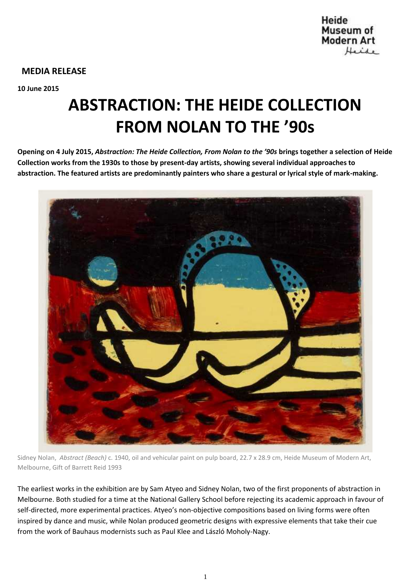

## **MEDIA RELEASE**

**10 June 2015**

# **ABSTRACTION: THE HEIDE COLLECTION FROM NOLAN TO THE '90s**

**Opening on 4 July 2015,** *Abstraction: The Heide Collection, From Nolan to the '90s* **brings together a selection of Heide Collection works from the 1930s to those by present-day artists, showing several individual approaches to abstraction. The featured artists are predominantly painters who share a gestural or lyrical style of mark-making.**



Sidney Nolan, *Abstract (Beach)* c. 1940, oil and vehicular paint on pulp board, 22.7 x 28.9 cm, Heide Museum of Modern Art, Melbourne, Gift of Barrett Reid 1993

The earliest works in the exhibition are by Sam Atyeo and Sidney Nolan, two of the first proponents of abstraction in Melbourne. Both studied for a time at the National Gallery School before rejecting its academic approach in favour of self-directed, more experimental practices. Atyeo's non-objective compositions based on living forms were often inspired by dance and music, while Nolan produced geometric designs with expressive elements that take their cue from the work of Bauhaus modernists such as Paul Klee and László Moholy-Nagy.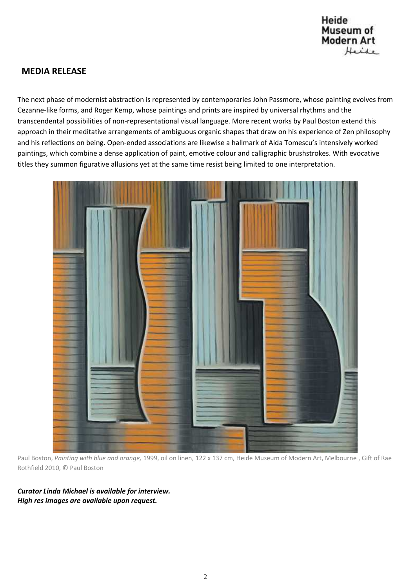

# **MEDIA RELEASE**

The next phase of modernist abstraction is represented by contemporaries John Passmore, whose painting evolves from Cezanne-like forms, and Roger Kemp, whose paintings and prints are inspired by universal rhythms and the transcendental possibilities of non-representational visual language. More recent works by Paul Boston extend this approach in their meditative arrangements of ambiguous organic shapes that draw on his experience of Zen philosophy and his reflections on being. Open-ended associations are likewise a hallmark of Aida Tomescu's intensively worked paintings, which combine a dense application of paint, emotive colour and calligraphic brushstrokes. With evocative titles they summon figurative allusions yet at the same time resist being limited to one interpretation.



Paul Boston, *Painting with blue and orange,* 1999, oil on linen, 122 x 137 cm, Heide Museum of Modern Art, Melbourne , Gift of Rae Rothfield 2010, © Paul Boston

*Curator Linda Michael is available for interview. High res images are available upon request.*